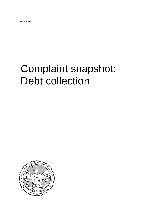May 2018

# Complaint snapshot: Debt collection

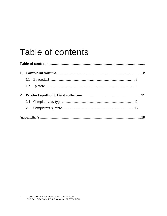## <span id="page-1-0"></span>Table of contents

| 1. |  |  |
|----|--|--|
|    |  |  |
|    |  |  |
|    |  |  |
|    |  |  |
|    |  |  |
|    |  |  |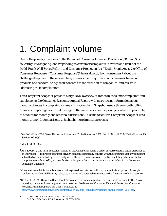## <span id="page-2-0"></span>1. Complaint volume

One of the primary functions of the Bureau of Consumer Financial Protection ("Bureau") is collecting, investigating, and responding to consumer complaints.[1](#page-2-1) Created as a result of the Dodd-Frank Wall Street Reform and Consumer Protection Act ("Dodd-Frank Act"), the Office of Consumer Response ("Consumer Response")<sup>[2](#page-2-2)</sup> hears directly from consumers<sup>[3](#page-2-3)</sup> about the challenges they face in the marketplace, answers their inquiries about consumer financial products and services, brings their concerns to the attention of companies, and assists in addressing their complaints.[4](#page-2-4)

This Complaint Snapshot provides a high-level overview of trends in consumer complaints and supplements the Consumer Response Annual Report with more recent information about monthly changes in complaint volume.<sup>[5](#page-2-5)</sup> This Complaint Snapshot uses a three-month rolling average, comparing the current average to the same period in the prior year where appropriate, to account for monthly and seasonal fluctuations. In some cases, this Complaint Snapshot uses month-to-month comparisons to highlight more immediate trends.

1

<span id="page-2-4"></span><sup>4</sup> Consumer complaints are submissions that express dissatisfaction with, or communicate suspicion of wrongful conduct by, an identifiable entity related to a consumer's personal experience with a financial product or service.

<span id="page-2-1"></span><sup>1</sup> See Dodd-Frank Wall Street Reform and Consumer Protection Act of 2010, Pub. L. No. 111-203 ("Dodd-Frank Act") Section  $1021(c)(2)$ .

<span id="page-2-2"></span> $2$  *Id.* § 1013(b)(3)(A).

<span id="page-2-3"></span><sup>3</sup> *Id*. § 1002(4) ("The term 'consumer' means an individual or an agent, trustee, or representative acting on behalf of an individual."). To protect consumer privacy, companies generally confirm with the consumer that any complaint submitted on their behalf by a third party was authorized. Companies alert the Bureau if they determine that a complaint was submitted by an unauthorized third party. Such complaints are not published in the Consumer Complaint Database.

<span id="page-2-5"></span><sup>5</sup> Section 1013(b)(3)(C) of the Dodd-Frank Act requires an annual report on the complaints received by the Bureau regarding consumer financial products and services. *See* Bureau of Consumer Financial Protection, *Consumer Response Annual Report* (Mar. 2018), *available at* [http://www.consumerfinance.gov/documents/6406/cfpb\\_consumer-response-annual-report\\_2017.pdf.](http://www.consumerfinance.gov/documents/6406/cfpb_consumer-response-annual-report_2017.pdf)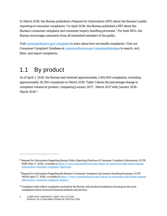In March 2018, the Bureau published a Request for Information (RFI) about the Bureau's public reporting of consumer complaints.[6](#page-3-1) In April 2018, the Bureau published a RFI about the Bureau's consumer complaint and consumer inquiry handling processes.[7](#page-3-2) For both RFIs, the Bureau encourages comments from all interested members of the public.

Visit [consumerfinance.gov/complaint](http://www.consumerfinance.gov/complaint/) to learn about how we handle complaints. Visit our Consumer Complaint Database at [consumerfinance.gov/complaintdatabase](http://www.consumerfinance.gov/complaintdatabase) to search, sort, filter, and export complaints.

## <span id="page-3-0"></span>1.1 By product

As of April 1, 2018, the Bureau had received approximately 1,492,600 complaints, including approximately 30,300 complaints in March 2018. Table 1 shows the percentage change in complaint volume by product, comparing January 2017 - March 2017 with January 2018 - March 201[8](#page-3-3).<sup>8</sup>

<span id="page-3-1"></span><sup>6</sup> Request for Information Regarding Bureau Public Reporting Practices of Consumer Complaint Information, 83 FR 9499 (Mar. 6, 2018), *available at [https://www.consumerfinance.gov/about-us/newsroom/cfpb-issues-request](https://www.consumerfinance.gov/about-us/newsroom/cfpb-issues-request-information-consumer-complaint-reporting/)[information-consumer-complaint-reporting/](https://www.consumerfinance.gov/about-us/newsroom/cfpb-issues-request-information-consumer-complaint-reporting/)*.

<span id="page-3-2"></span><sup>&</sup>lt;sup>7</sup> Request for Information Regarding the Bureau's Consumer Complaint and Inquiry Handling Processes, 83 FR 16839 (April 17, 2018), *available at [https://www.consumerfinance.gov/about-us/newsroom/cfpb-issues-request](https://www.consumerfinance.gov/about-us/newsroom/cfpb-issues-request-information-consumer-complaint-inquiry/)[information-consumer-complaint-inquiry/.](https://www.consumerfinance.gov/about-us/newsroom/cfpb-issues-request-information-consumer-complaint-inquiry/)*

<span id="page-3-3"></span><sup>8</sup> Complaint totals reflect complaints received by the Bureau with product breakdowns focusing on the mostcomplained-about consumer financial products and services.

<sup>3</sup> COMPLAINT SNAPSHOT: DEBT COLLECTION BUREAU OF CONSUMER FINANCIAL PROTECTION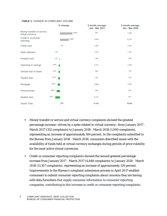|                                                |        | % change | 3 month average:<br>Jan - Mar 2017 | 3 month average:<br>Jan - Mar 2018 |
|------------------------------------------------|--------|----------|------------------------------------|------------------------------------|
| Money transfer or service,<br>virtual currency |        | 184%     | 352                                | 1,000                              |
| Credit or consumer<br>reporting                |        | 129%     | 4,848                              | 11,107                             |
| Credit card                                    |        | 4%       | 2,363                              | 2,447                              |
| Debt collection                                | $-2%$  |          | 7,947                              | 7,752                              |
| Prepaid card                                   | $-4%$  |          | 198                                | 190                                |
| Checking or savings                            | $-18%$ |          | 2,472                              | 2,025                              |
| Vehicle loan or lease                          | $-19%$ |          | 894                                | 720                                |
| Payday loan                                    | $-27%$ |          | 297                                | 218                                |
| Mortgage                                       | $-32%$ |          | 3,889                              | 2,626                              |
| Personal loan                                  | $-46%$ |          | 640                                | 346                                |
| Student Ioan                                   | $-70%$ |          | 3,273                              | 974                                |
| <b>Grand Total</b>                             |        | 8%       | 27,422                             | 29,583                             |

#### **TABLE 1:** CHANGE IN COMPLAINT VOLUME

- **Money transfer or service and virtual currency complaints showed the greatest** percentage increase—driven by a spike related to virtual currency—from January 2017 - March 2017 (352 complaints) to January 2018 - March 2018 (1,000 complaints), representing an increase of approximately 184 percent. In the complaints submitted to the Bureau from January 2018 - March 2018, consumers described issues with the availability of funds held at virtual currency exchanges during periods of price volatility for the most active virtual currencies.
- Credit or consumer reporting complaints showed the second greatest percentage increase from January 2017 - March 2017 (4,848 complaints) to January 2018 - March 2018 (11,107 complaints), representing an increase of approximately 129 percent. Improvements to the Bureau's complaint submission process in April 2017 enabled consumers to submit consumer reporting complaints about concerns they are having with data furnishers that supply consumer information to consumer reporting companies, contributing to this increase in credit or consumer reporting complaints.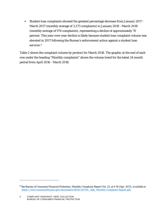Student loan complaints showed the greatest percentage decrease from January 2017 - March 2017 (monthly average of 3,273 complaints) to January 2018 - March 2018 (monthly average of 974 complaints), representing a decline of approximately 70 percent. This year-over-year decline is likely because student loan complaint volume was elevated in 2017 following the Bureau's enforcement action against a student loan servicer.<sup>[9](#page-5-0)</sup>

Table 2 shows the complaint volume by product for March 2018. The graphic at the end of each row under the heading "Monthly complaints" shows the volume trend for the latest 24 month period from April 2016 - March 2018.

<span id="page-5-0"></span><sup>9</sup> *See* Bureau of Consumer Financial Protection, *Monthly Complaint Report Vol. 22*, at 9-10 (Apr. 2017), *available at* [https://www.consumerfinance.gov/documents/4654/201704\\_cfpb\\_Monthly-Complaint-Report.pdf.](https://www.consumerfinance.gov/documents/4654/201704_cfpb_Monthly-Complaint-Report.pdf)

<sup>5</sup> COMPLAINT SNAPSHOT: DEBT COLLECTION BUREAU OF CONSUMER FINANCIAL PROTECTION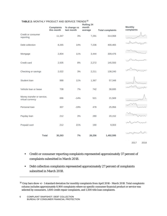|                                                | <b>Complaints</b><br>this month | % change vs<br>last month | <b>Rolling 24</b><br>month<br>average | <b>Total complaints</b> | <b>Monthly</b><br>complaints |
|------------------------------------------------|---------------------------------|---------------------------|---------------------------------------|-------------------------|------------------------------|
| Credit or consumer<br>reporting                | 11,347                          | 3%                        | 7,291                                 | 314,068                 |                              |
| Debt collection                                | 8,265                           | 14%                       | 7,236                                 | 400,465                 |                              |
| Mortgage                                       | 2,804                           | 11%                       | 3,444                                 | 309,476                 |                              |
| Credit card                                    | 2,505                           | 8%                        | 2,272                                 | 145,593                 |                              |
| Checking or savings                            | 2,022                           | 3%                        | 2,211                                 | 138,240                 |                              |
| Student Ioan                                   | 988                             | 11%                       | 1,367                                 | 57,348                  |                              |
| Vehicle loan or lease                          | 708                             | 7%                        | 742                                   | 38,695                  |                              |
| Money transfer or service,<br>virtual currency | 696                             | $-14%$                    | 521                                   | 21,569                  |                              |
| Personal loan                                  | 307                             | $-19%$                    | 478                                   | 25,956                  |                              |
| Payday loan                                    | 212                             | 3%                        | 280                                   | 20,152                  |                              |
| Prepaid card                                   | 212                             | 21%                       | 190                                   | 9,003                   |                              |
| <b>Total</b>                                   | 30,263                          | 7%                        | 26,256                                | 1,492,595               |                              |

#### **TABLE 2:** MONTHLY PRODUCT AND SERVICE TRENDS[10](#page-6-0)

2017 2018

- Credit or consumer reporting complaints represented approximately 37 percent of complaints submitted in March 2018.
- Debt collection complaints represented approximately 27 percent of complaints submitted in March 2018.

<span id="page-6-0"></span><sup>&</sup>lt;sup>10</sup> Gray bars show +/-1 standard deviation for monthly complaints from April 2016 - March 2018. Total complaints column includes approximately 8,900 complaints where no specific consumer financial product or service was selected by consumers, 1,600 credit repair complaints, and 1,500 title loan complaints.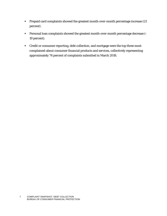- Prepaid card complaints showed the greatest month-over-month percentage increase (21 percent).
- Personal loan complaints showed the greatest month-over-month percentage decrease (- 19 percent).
- Credit or consumer reporting, debt collection, and mortgage were the top three mostcomplained-about consumer financial products and services, collectively representing approximately 74 percent of complaints submitted in March 2018.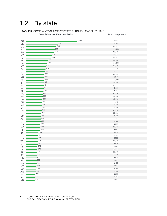### <span id="page-8-0"></span>1.2 By state

**TABLE 3:** COMPLAINT VOLUME BY STATE THROUGH MARCH 31, 2018 **Complaints per 100K population Total complaints** DC DE MD FL GA NV NJ VA CA NY AZ CT CO NH TX IL SC NC RI PA WA OR OH MA LA TN MI NM AL VT ME MO  $\blacksquare$  $HI - 1$ ID  $MN =$ MS  $\blacksquare$ WI UT KS OK  $\blacksquare$ IN KY **E**  $NE$  $AK =$ WY MT SD  $AR =$  $-1,199$ 758 716 674 669 616 600  $-$  525 507 470 464 452 436 435 435  $-425$ 424  $-420$  $-416$  $-400$ 397 388 385 380 376 375 364 **355** 354 **353** 344 343 339 296 291 286 286 285 276 <sup>272</sup> 266 265 256 255 253  $-249$  $-246$ <u>239</u> 8,319 7,292 43,361 141,448 69,790 18,467 54,023 44,443 200,295 93,199 32,555 16,231 24,454 5,844 122,994 54,408 21,297 43,173 4,403 51,270 29,376 16,078 44,842 26,085 17,616 25,160 36,271 7,411 17,267 2,199 4,595 20,971 4,843 5,077 16,241 8,530 16,565 8,826 8,048 10,707 17,753 11,796 4,914 1,883 1,468 2,613 2,141 7,189

4,032 6,707 1,569

8 COMPLAINT SNAPSHOT: DEBT COLLECTION BUREAU OF CONSUMER FINANCIAL PROTECTION

WV IA ND

÷  $\sim$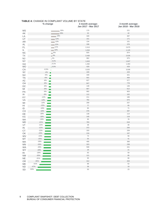|           | % change                                                                                                                 | 3 month average:<br>Jan 2017 - Mar 2017 | 3 month average:<br>Jan 2018 - Mar 2018 |
|-----------|--------------------------------------------------------------------------------------------------------------------------|-----------------------------------------|-----------------------------------------|
| <b>MS</b> | 30%                                                                                                                      | 170                                     | 221                                     |
| AK        | 29%                                                                                                                      | 32                                      | 42                                      |
| LA        | $-18%$                                                                                                                   | 328                                     | 387                                     |
| UT        | 13%                                                                                                                      | 151                                     | 171                                     |
| AR        | 13%                                                                                                                      | 134                                     | 151                                     |
| AL        | 12%                                                                                                                      | 338                                     | 378                                     |
| FL        | $11\%$                                                                                                                   | 2,414                                   | 2,675                                   |
| IL.       | 10%                                                                                                                      | 1,044                                   | 1,145                                   |
| <b>NC</b> | $-6%$                                                                                                                    | 825                                     | 874                                     |
| ТX        | $\Box$ 4%                                                                                                                | 2,430                                   | 2,526                                   |
| <b>NJ</b> | $1\%$                                                                                                                    | 962                                     | 975                                     |
| <b>NY</b> | 0.2%                                                                                                                     | 1,643                                   | 1,647                                   |
| GA        | 0.1%                                                                                                                     | 1,482                                   | 1,483                                   |
| <b>MO</b> | $10.0\%$                                                                                                                 | 429                                     | 429                                     |
| CA        | $-0.5%$                                                                                                                  | 3,525                                   | 3,508                                   |
| SC        | $-4%$<br>п                                                                                                               | 449                                     | 429                                     |
| <b>NV</b> | $-5%$<br>$\overline{\phantom{a}}$                                                                                        | 339                                     | 321                                     |
| <b>TN</b> | $-6%$<br>$\blacksquare$                                                                                                  | 501                                     | 469                                     |
| AZ        | $-8%$<br><b>The Co</b>                                                                                                   | 627                                     | 577                                     |
| OH        | $-8%$<br>$\blacksquare$                                                                                                  | 847                                     | 778                                     |
| DC        | $-8%$<br><b>The Contract State</b>                                                                                       | 148                                     | 136                                     |
| MI        | $-8%$<br>$\blacksquare$                                                                                                  | 667                                     | 612                                     |
| PA        | $-9%$<br>$\sim 10$                                                                                                       | 992                                     | 903                                     |
| IA        | $-9%$                                                                                                                    | 112                                     | 102                                     |
| KY        | $-12%$<br><b>Service Service</b>                                                                                         | 211                                     | 186                                     |
| VA        | $-14%$                                                                                                                   | 782                                     | 675                                     |
| WI        | $-14%$                                                                                                                   | 299                                     | 257                                     |
| HI        | $-15%$                                                                                                                   | 77                                      | 65                                      |
| ID        | $-16%$                                                                                                                   | 85                                      | 71                                      |
| CO        | $-16%$                                                                                                                   | 476                                     | 397                                     |
| DE        | $-18%$                                                                                                                   | 138                                     | 114                                     |
| KS        | $-18%$                                                                                                                   | 145                                     | 119                                     |
| <b>NH</b> | $-19%$                                                                                                                   | 95                                      | 78                                      |
| <b>MD</b> | $-21%$                                                                                                                   | 783                                     | 618                                     |
| VT        | $-21%$                                                                                                                   | 38                                      | $30\,$                                  |
| IN        | and the state of the state of the state of the state of the state of the state of the state of the state of th<br>$-21%$ | 372                                     | 293                                     |
| СT        | $-22%$                                                                                                                   | 333                                     | 259                                     |
| OK        | $-23%$                                                                                                                   | 216                                     | 167                                     |
| WV        | $-24%$                                                                                                                   | 74                                      | 56                                      |
| MT        | $-25%$                                                                                                                   | 55                                      | 41                                      |
|           | $-26%$                                                                                                                   | 495                                     | 366                                     |
| MA        | $-26%$                                                                                                                   | 323                                     | 238                                     |
| <b>MN</b> | $-26%$                                                                                                                   | 599                                     | 441                                     |
| <b>WA</b> | $-28%$                                                                                                                   | 29                                      | 21                                      |
| <b>WY</b> | $-29%$                                                                                                                   | 83                                      | 59                                      |
| RI        | $-30%$                                                                                                                   |                                         |                                         |
| <b>NM</b> |                                                                                                                          | 121                                     | 85                                      |
| <b>NE</b> | $-31%$                                                                                                                   | 95                                      | 66                                      |
| OR        | $-35%$                                                                                                                   | 312<br>88                               | 204                                     |
| ME        | $-41%$                                                                                                                   | 36                                      | 52<br>19                                |
| <b>ND</b> | $-47%$                                                                                                                   | 50                                      | 23                                      |
| SD        | $-53%$                                                                                                                   |                                         |                                         |

#### **TABLE 4:** CHANGE IN COMPLAINT VOLUME BY STATE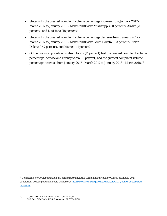- States with the greatest complaint volume percentage increase from January 2017 March 2017 to January 2018 - March 2018 were Mississippi (30 percent), Alaska (29 percent), and Louisiana (18 percent).
- States with the greatest complaint volume percentage decrease from January 2017 March 2017 to January 2018 - March 2018 were South Dakota (-53 percent), North Dakota (-47 percent), and Maine (-41 percent).
- Of the five most populated states, Florida (11 percent) had the greatest complaint volume percentage increase and Pennsylvania (-9 percent) had the greatest complaint volume percentage decrease from January 2017 - March 2017 to January 2018 - March 2018. [11](#page-10-0)

<span id="page-10-0"></span> <sup>11</sup> Complaints per 100k population are defined as cumulative complaints divided by Census estimated 2017 population. Census population data available at [https://www.census.gov/data/datasets/2017/demo/popest/state](https://www.census.gov/data/datasets/2017/demo/popest/state-total.html)[total.html.](https://www.census.gov/data/datasets/2017/demo/popest/state-total.html)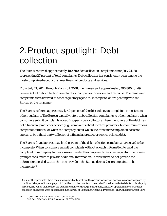## <span id="page-11-0"></span>2.Product spotlight: Debt collection

The Bureau received approximately 400,500 debt collection complaints since July 21, 2011, representing 27 percent of total complaints. Debt collection has consistently been among the most-complained-about consumer financial products and services.

From July 21, 2011, through March 31, 2018, the Bureau sent approximately 196,800 (or 49 percent) of all debt collection complaints to companies for review and response. The remaining complaints were referred to other regulatory agencies, incomplete, or are pending with the Bureau or the consumer.

The Bureau referred approximately 40 percent of the debt collection complaints it received to other regulators. The Bureau typically refers debt collection complaints to other regulators when consumers submit complaints about first-party debt collectors where the source of the debt was not a financial product or service (e.g., complaints about medical providers, telecommunications companies, utilities) or when the company about which the consumer complained does not appear to be a third-party collector of a financial product or service-related debt.

The Bureau found approximately 10 percent of the debt collection complaints it received to be incomplete. When consumers submit complaints without enough information to send the complaint to a company for response or to refer the complaint to another regulator, the Bureau prompts consumers to provide additional information. If consumers do not provide the information needed within the time provided, the Bureau deems those complaints to be incomplete.[12](#page-11-1)

<span id="page-11-1"></span><sup>&</sup>lt;sup>12</sup> Unlike other products where consumers proactively seek out the product or service, debt collectors are engaged by creditors. Many creditors engage third parties to collect debts on their behalf or sell uncollected debts to third-party debt buyers, which then collect the debts internally or through a third party. In 2016, approximately 8,500 debt collection businesses were in operation. *See* Bureau of Consumer Financial Protection, *The Consumer Credit Card* 

<sup>11</sup> COMPLAINT SNAPSHOT: DEBT COLLECTION BUREAU OF CONSUMER FINANCIAL PROTECTION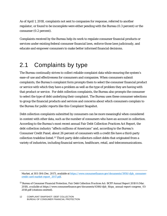As of April 1, 2018, complaints not sent to companies for response, referred to another regulator, or found to be incomplete were either pending with the Bureau (0.3 percent) or the consumer (0.2 percent).

Complaints received by the Bureau help its work to regulate consumer financial products or services under existing federal consumer financial laws, enforce those laws judiciously, and educate and empower consumers to make better informed financial decisions.

## <span id="page-12-0"></span>2.1 Complaints by type

The Bureau continually strives to collect reliable complaint data while ensuring the system's ease-of-use and effectiveness for consumers and companies. When consumers submit complaints, the Bureau's complaint form prompts them to select the consumer financial product or service with which they have a problem as well as the type of problem they are having with that product or service. For debt collection complaints, the Bureau also prompts the consumer to select the type of debt underlying their complaint. The Bureau uses these consumer selections to group the financial products and services and concerns about which consumers complain to the Bureau for public reports like this Complaint Snapshot.

Debt collection complaints submitted by consumers can be more meaningful when considered in context with other data, such as the number of consumers who have an account in collection. According to the Bureau's most recent annual Fair Debt Collection Practices Act Report, the debt collection industry "affects millions of Americans" and, according to the Bureau's Consumer Credit Panel, about 26 percent of consumers with a credit file have a third-party collection tradeline listed.[13](#page-12-1) Third-party debt collectors collect debts that originated from a variety of industries, including financial services, healthcare, retail, and telecommunications.

*Market*, at 303-304 (Dec. 2017), available a[t https://www.consumerfinance.gov/documents/5950/cfpb\\_consumer](https://www.consumerfinance.gov/documents/5950/cfpb_consumer-credit-card-market-report_2017.pdf)[credit-card-market-report\\_2017.pdf.](https://www.consumerfinance.gov/documents/5950/cfpb_consumer-credit-card-market-report_2017.pdf)

<span id="page-12-1"></span><sup>13</sup> Bureau of Consumer Financial Protection, *Fair Debt Collection Practices Act: BCFP Annual Report 2018* 8 (Mar. 2018), *available at* https://www.consumerfinance.gov/documents/6346/cfpb\_fdcpa\_annual-report-congress\_03- 2018.pdf (citations omitted).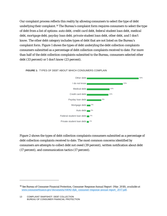Our complaint process reflects this reality by allowing consumers to select the type of debt underlying their complaint.[14](#page-13-0) The Bureau's complaint form requires consumers to select the type of debt from a list of options: *auto debt, credit card debt, federal student loan debt, medical debt, mortgage debt, payday loan debt, private student loan debt, other debt, and I don't know*. The other debt category includes types of debt that are not listed on the Bureau's complaint form. Figure 1 shows the types of debt underyling the debt collection complaints consumers submitted as a percentage of debt collection complaints received to date. For more than half of the debt collection complaints submitted to the Bureau, consumers selected *other debt* (33 percent) or *I don't know* (23 percent).



#### **FIGURE 1:** TYPES OF DEBT ABOUT WHICH CONSUMERS COMPLAIN

Figure 2 shows the types of debt collection complaints consumers submitted as a percentage of debt collection complaints received to date. The most common concerns identified by consumers are attempts to collect debt not owed (39 percent), written notification about debt (17 percent), and communication tactics (17 percent).

<span id="page-13-0"></span><sup>14</sup> *See* Bureau of Consumer Financial Protection, *Consumer Response Annual Report* (Mar. 2018), *available at* [www.consumerfinance.gov/documents/6406/cfpb\\_consumer-response-annual-report\\_2017.pdf.](http://www.consumerfinance.gov/documents/6406/cfpb_consumer-response-annual-report_2017.pdf)

<sup>13</sup> COMPLAINT SNAPSHOT: DEBT COLLECTION BUREAU OF CONSUMER FINANCIAL PROTECTION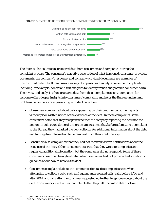#### **FIGURE 2:** TYPES OF DEBT COLLECTION COMPLAINTS REPORTED BY CONSUMERS



The Bureau also collects unstructured data from consumers and companies during the complaint process. The consumer's narrative description of what happened, consumer-provided documents, the company's response, and company-provided documents are examples of unstructured data. The Bureau uses a variety of approaches to analyze consumer complaints including, for example, cohort and text analytics to identify trends and possible consumer harm. The review and analysis of unstructured data from those complaints sent to companies for response offers deeper insights into consumers' complaints and helps the Bureau understand problems consumers are experiencing with debt collection.

- Consumers complained about debts appearing on their credit or consumer reports without prior written notice of the existence of the debt. In these complaints, some consumers noted that they recognized neither the company reporting the debt nor the amount in collection. Some of these consumers stated that before submitting a complaint to the Bureau they had asked the debt collector for additional information about the debt and for negative information to be removed from their credit history.
- Consumers also complained that they had not received written notifications about the existence of the debt. Other consumers asserted that they wrote to companies and requested additional information, but the companies did not respond. Some of these consumers described being frustrated when companies had not provided information or guidance about how to resolve the debt.
- Consumers complained about the communication tactics companies used when attempting to collect a debt, such as frequent and repeated calls, calls before 8AM and after 9PM, and calls after the consumer requested no further telephone contact about the debt. Consumers stated in their complaints that they felt uncomfortable disclosing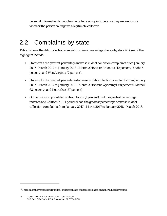personal information to people who called asking for it because they were not sure whether the person calling was a legitimate collector.

### <span id="page-15-0"></span>2.2 Complaints by state

Table 6 shows the debt collection complaint volume percentage change by state.[15](#page-15-1) Some of the highlights include:

- States with the greatest percentage increase in debt collection complaints from January 2017 - March 2017 to January 2018 - March 2018 were Arkansas (10 percent), Utah (5 percent), and West Virginia (2 percent).
- States with the greatest percentage decrease in debt collection complaints from January 2017 - March 2017 to January 2018 - March 2018 were Wyoming (-68 percent), Maine (- 63 percent), and Nebraska (-57 percent).
- Of the five most populated states, Florida (1 percent) had the greatest percentage increase and California (-14 percent) had the greatest percentage decrease in debt collection complaints from January 2017 - March 2017 to January 2018 - March 2018.

<span id="page-15-1"></span><sup>&</sup>lt;sup>15</sup> Three-month averages are rounded, and percentage changes are based on non-rounded averages.

<sup>15</sup> COMPLAINT SNAPSHOT: DEBT COLLECTION BUREAU OF CONSUMER FINANCIAL PROTECTION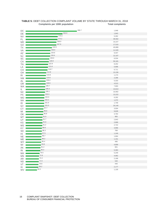| $\mathsf{DC}$ | 280.7 | 1,948  |
|---------------|-------|--------|
| DE            | 202.0 | 1,943  |
| <b>NV</b>     | 175.5 | 5,262  |
| FL.           | 174.2 | 36,562 |
| <b>MD</b>     | 169.0 | 10,227 |
| GA            | 167.9 | 17,515 |
| TX            | 144.5 | 40,889 |
| VA            | 136.0 | 11,520 |
| AZ            | 134.6 | 9,447  |
| <b>NJ</b>     | 134.4 | 12,107 |
| SC            | 130.0 | 6,534  |
| CA            | 126.9 | 50,181 |
| <b>TN</b>     | 122.9 | 8,252  |
| LA            | 121.6 | 5,696  |
| CO            | 119.7 | 6,711  |
| OH            | 112.8 | 13,156 |
| <b>RI</b>     | 110.8 | 1,174  |
| <b>NM</b>     | 110.0 | 2,296  |
| AL            | 109.4 | 5,333  |
| <b>OR</b>     | 108.9 | 4,513  |
| <b>WA</b>     | 106.7 | 7,903  |
| IL            | 106.3 | 13,613 |
| <b>NC</b>     | 106.1 | 10,902 |
| PA            | 103.3 | 13,222 |
| <b>MO</b>     | 102.9 | 6,292  |
| <b>NH</b>     | 102.2 | 1,372  |
| ID            | 101.9 | 1,749  |
| <b>NY</b>     | 101.5 | 20,140 |
| <b>CT</b>     | 97.7  | 3,504  |
| MI            | 96.6  | 9,628  |
| OK            | 95.8  | 3,764  |
| MT            | 91.9  | 965    |
| UT            | 91.7  | 2,843  |
| KS            | 91.6  | 2,668  |
| <b>MS</b>     | 91.2  | 2,722  |
| KY            | 88.8  | 3,956  |
| <b>SD</b>     | 88.3  | 768    |
| HI            | 87.5  | 1,249  |
| <b>NE</b>     | 86.7  | 1,664  |
| ME            | 86.2  | 1,151  |
| <b>WY</b>     | 85.4  | 495    |
| WI            | 83.8  | 4,858  |
| AK            | 81.2  | 601    |
| IN            | 80.4  | 5,363  |
| MA            | 76.5  | 5,249  |
| <b>MN</b>     | 72.8  | 4,062  |
| AR            | 72.2  | 2,168  |
| <b>ND</b>     | 71.5  | 540    |
| VT            | 70.6  | 440    |
| IA            | 69.2  | 2,177  |
| WV            | 62.2  | 1,130  |

#### **TABLE 5:** DEBT COLLECTION COMPLAINT VOLUME BY STATE THROUGH MARCH 31, 2018<br>Complaints per 100K population **Complaints per 100K population**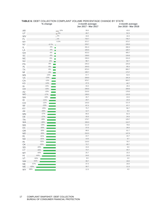|           | yo unanye          | <b>J</b> month average.<br>Jan 2017 - Mar 2017 | <b>J</b> month average.<br>Jan 2018 - Mar 2018 |
|-----------|--------------------|------------------------------------------------|------------------------------------------------|
| AR        | 10%                | 39.0                                           | 43.0                                           |
| UT        | $\Box$ 5%          | 49.7                                           | 52.3                                           |
| WV        | $\mathbb{I}^{2\%}$ | 16.0                                           | 16.3                                           |
| FL.       | $1\%$              | 734.7                                          | 745.7                                          |
| <b>NY</b> | $ 0.3\%$           | 372.7                                          | 373.7                                          |
| <b>NJ</b> | $-0.7%$<br>т       | 229.7                                          | 228.0                                          |
| IL.       | $-4%$<br>п         | 291.3                                          | 280.3                                          |
| LA        | $-4%$<br>п         | 105.0                                          | 100.7                                          |
| GA        | $-4%$<br>Г.        | 423.3                                          | 405.7                                          |
| SC        | $-4%$<br>п         | 139.0                                          | 133.0                                          |
| <b>NC</b> | $-5%$<br>ш         | 236.3                                          | 224.3                                          |
| <b>NV</b> | $-6%$<br>п         | 98.7                                           | 92.7                                           |
| PA        | $-8%$              | 245.3                                          | 225.0                                          |
| AL        | $-9%$              | 104.3                                          | 95.3                                           |
| ТX        | $-9%$<br>a a T     | 876.3                                          | 800.7                                          |
| MI        | $-9%$              | 190.7                                          | 173.7                                          |
| <b>MS</b> | $-10%$             | 57.7                                           | 52.0                                           |
| VA        | $-13%$             | 209.0                                          | 181.0                                          |
| CA        | $-14%$             | 978.7                                          | 843.7                                          |
| KS        | $-14%$             | 47.3                                           | 40.7                                           |
| IA        | $-15%$             | 33.3                                           | 28.3                                           |
| OH        | $-15%$             | 246.0                                          | 209.0                                          |
| AZ        | $-15%$             | 210.0                                          | 178.0                                          |
| MO        | $-17%$             | 138.3                                          | 115.0                                          |
| <b>NH</b> | $-18%$             | 26.7                                           | 22.0                                           |
|           | $-21%$             | 29.7                                           | 23.3                                           |
| ID        | $-22%$             | 143.0                                          | 111.3                                          |
| CO        | $-23%$             | 87.3                                           | 67.7                                           |
| WI        | $-25%$             | 75.7                                           | 56.7                                           |
| KY.       | $-26%$             | 12.7                                           | 9.3                                            |
| AK        | $-27%$             | 85.0                                           | 62.3                                           |
| MN        | $-27%$             | 33.3                                           | 24.3                                           |
| DE        | $-28%$             | 179.7                                          | 129.7                                          |
| TN        |                    | 156.3                                          | 112.7                                          |
| <b>WA</b> | $-28%$             |                                                |                                                |
| MA        | $-29%$<br>$-30%$   | 111.0                                          | 79.0                                           |
| DC        |                    | 37.0                                           | 26.0                                           |
| OR        | $-30%$             | 88.0                                           | 61.7                                           |
| MD        | $-30%$             | 210.3<br>22.7                                  | 147.0                                          |
| RI        | $-31%$             |                                                | 15.7                                           |
| <b>ND</b> | $-31%$             | 14.0                                           | 9.7                                            |
| IN        | $-31%$             | 116.0                                          | 79.7                                           |
| OK        | $-32%$             | 72.7                                           | 49.7                                           |
| SD        | $-40%$             | 15.0                                           | 9.0                                            |
| CT        | $-40%$             | 74.7                                           | 44.7                                           |
| MT        | $-40%$             | 25.7                                           | 15.3                                           |
| HI        | $-44%$             | 24.0                                           | 13.3                                           |
| VT        | $-50%$             | $8.0\,$                                        | 4.0                                            |
| <b>NM</b> | $-52%$             | 39.7                                           | 19.0                                           |
| <b>NE</b> | $-57%$             | 37.3                                           | 16.0                                           |
| ME        | $-63%$             | 30.7                                           | 11.3                                           |
| <b>WY</b> | $-68%$             | 12.3                                           | 4.0                                            |

#### **TABLE 6:** DEBT COLLECTION COMPLAINT VOLUME PERCENTAGE CHANGE BY STATE **% change 3 month average: 3 month average:**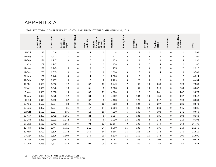### APPENDIX A

#### **TABLE 7:** TOTAL COMPLAINTS BY MONTH AND PRODUCT THROUGH MARCH 31, 2018

<span id="page-18-0"></span>

|            | Checking or<br>savings | Credit card | consumer<br>Credit or<br>report | Credit repair | Debt<br>collection      | transfer or<br>currency<br>service,<br>Money<br>virtual | Mortgage | Payday Ioan             | Personal<br>Ioan | Prepaid<br>card          | Student<br>Ioans        | Title loan  | Vehicle loan<br>or lease | Total  |
|------------|------------------------|-------------|---------------------------------|---------------|-------------------------|---------------------------------------------------------|----------|-------------------------|------------------|--------------------------|-------------------------|-------------|--------------------------|--------|
| $11 -$ Jul | 13                     | 518         | $\boldsymbol{2}$                | $\pmb{0}$     | 4                       | 0                                                       | 14       | $\mathbf 0$             | 2                | $\overline{c}$           | $\overline{\mathbf{c}}$ | $\mathbf 0$ | $\mathbf{1}$             | 565    |
| 11-Aug     | 140                    | 1,813       | 12                              | $\pmb{0}$     | 6                       | $\mathbf{1}$                                            | 127      | 0                       | 12               | $\sqrt{5}$               | 5                       | 0           | 15                       | 2,162  |
| 11-Sep     | 191                    | 1,717       | 18                              | $\pmb{0}$     | 17                      | $\mathbf 2$                                             | 179      | $\overline{\mathbf{4}}$ | 21               | $\boldsymbol{7}$         | 3                       | $\mathbf 0$ | 24                       | 2,232  |
| 11-Oct     | 159                    | 1,747       | 11                              | $\pmb{0}$     | 8                       | 3                                                       | 178      | 0                       | 14               | $\overline{7}$           | 4                       | $\mathbf 0$ | 12                       | 2,187  |
| 11-Nov     | 199                    | 1,745       | $\,$ 5 $\,$                     | $\pmb{0}$     | 9                       | $\mathbf{1}$                                            | 275      | $\mathbf{1}$            | 17               | $\mathbf 0$              | 5                       | 0           | 22                       | 2,317  |
| 11-Dec     | 206                    | 1,615       | $\bf 8$                         | $\pmb{0}$     | 6                       | $\overline{c}$                                          | 1,690    | 0                       | 16               | 14                       | $\overline{\mathbf{4}}$ | $\mathbf 0$ | 13                       | 3,589  |
| 12-Jan     | 191                    | 1,448       | $\pmb{4}$                       | $\pmb{0}$     | $\overline{\mathbf{4}}$ | $\mathbf{1}$                                            | 2,503    | $\mathbf{3}$            | 13               | 6                        | 11                      | $\pmb{0}$   | 17                       | 4,224  |
| 12-Feb     | 215                    | 1,437       | 10                              | $\pmb{0}$     | 12                      | $\overline{\mathbf{c}}$                                 | 2,709    | 0                       | 22               | 5                        | 8                       | 0           | 15                       | 4,454  |
| 12-Mar     | 1,463                  | 1,616       | 12                              | $\pmb{0}$     | 32                      | 17                                                      | 3,449    | $\overline{7}$          | 96               | 18                       | 666                     | $\mathbf 0$ | 123                      | 7,536  |
| 12-Apr     | 1,500                  | 1,348       | 13                              | $\pmb{0}$     | 31                      | 8                                                       | 3,388    | 8                       | 91               | 13                       | 315                     | $\mathbf 0$ | 159                      | 6,887  |
| 12-May     | 1,965                  | 1,663       | 19                              | $\mathbf 0$   | 36                      | 11                                                      | 4,684    | 8                       | 119              | 12                       | 241                     | $\mathbf 0$ | 247                      | 9,070  |
| 12-Jun     | 1,692                  | 1,975       | 12                              | $\pmb{0}$     | 34                      | 9                                                       | 4,652    | 6                       | 134              | 10                       | 756                     | 0           | 207                      | 9,542  |
| 12-Jul     | 1,618                  | 1,792       | 32                              | $\pmb{0}$     | 32                      | 9                                                       | 4,153    | 4                       | 129              | $\mathbf 5$              | 317                     | $\mathbf 0$ | 198                      | 8,330  |
| 12-Aug     | 1,597                  | 1,587       | 33                              | $\pmb{0}$     | 25                      | 12                                                      | 4,623    | 3                       | 124              | 6                        | 297                     | $\mathbf 0$ | 236                      | 8,573  |
| 12-Sep     | 1,367                  | 1,257       | 21                              | $\pmb{0}$     | 17                      | 14                                                      | 3,656    | 4                       | 139              | 12                       | 260                     | $\mathbf 0$ | 165                      | 6,931  |
| 12-Oct     | 1,562                  | 1,697       | 536                             | $\pmb{0}$     | 18                      | 10                                                      | 4,010    | $\,6\,$                 | 146              | $\overline{\mathcal{I}}$ | 398                     | 0           | 241                      | 8,660  |
| 12-Nov     | 1,255                  | 1,402       | 1,261                           | $\mathbf 0$   | 24                      | 5                                                       | 3,524    | $\mathbf{1}$            | 131              | 4                        | 331                     | $\mathbf 0$ | 198                      | 8,168  |
| 12-Dec     | 1,238                  | 1,311       | 1,372                           | $\pmb{0}$     | 62                      | 6                                                       | 3,720    | 14                      | 131              | 8                        | 274                     | $\mathbf 0$ | 210                      | 8,393  |
| 13-Jan     | 1,650                  | 1,442       | 1,556                           | $\pmb{0}$     | 94                      | 11                                                      | 11,104   | 9                       | 135              | $\overline{\mathbf{4}}$  | 379                     | $\mathbf 0$ | 258                      | 16,735 |
| 13-Feb     | 1,452                  | 1,447       | 1,711                           | $\mathbf 0$   | 111                     | 24                                                      | 5,700    | 16                      | 138              | 9                        | 335                     | $\mathbf 0$ | 210                      | 11,246 |
| 13-Mar     | 1,702                  | 1,616       | 1,732                           | $\pmb{0}$     | 155                     | 14                                                      | 5,695    | 15                      | 166              | 18                       | 372                     | $\mathbf 0$ | 275                      | 11,910 |
| 13-Apr     | 1,422                  | 1,506       | 1,900                           | $\pmb{0}$     | 179                     | 80                                                      | 5,618    | 16                      | 159              | 16                       | 373                     | $\mathbf 0$ | 295                      | 11,691 |
| 13-May     | 1,415                  | 1,368       | 1,878                           | $\mathbf 0$   | 111                     | 66                                                      | 5,254    | 26                      | 168              | 16                       | 302                     | $\mathbf 0$ | 279                      | 10,974 |
| 13-Jun     | 1,488                  | 1,311       | 2,042                           | $\pmb{0}$     | 108                     | 99                                                      | 5,245    | 22                      | 169              | 5                        | 286                     | 0           | 257                      | 11,084 |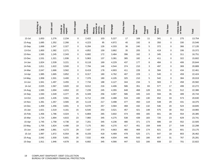|            | Checking or<br>savings                                                         | Credit card | Credit or<br>consumer<br>report | Credit repair | Debt<br>collection | transfer or<br>virtual<br>currency<br>service,<br>Money | Mortgage | Payday loan | Personal<br>Ioan | Prepaid<br>card | Student<br>Ioans | Title loan  | Vehicle loan<br>or lease | Total  |
|------------|--------------------------------------------------------------------------------|-------------|---------------------------------|---------------|--------------------|---------------------------------------------------------|----------|-------------|------------------|-----------------|------------------|-------------|--------------------------|--------|
| $13 -$ Jul | 1,653                                                                          | 1,276       | 2,234                           | $\pmb{0}$     | 2,422              | 103                                                     | 5,227    | 17          | 169              | 11              | 341              | $\pmb{0}$   | 275                      | 13,754 |
| 13-Aug     | 1,685                                                                          | 1,352       | 2,266                           | $\pmb{0}$     | 4,223              | 95                                                      | 4,972    | 40          | 192              | 8               | 350              | $\pmb{0}$   | 330                      | 15,546 |
| 13-Sep     | 1,668                                                                          | 1,347       | 2,327                           | 0             | 6,284              | 126                                                     | 4,333    | 36          | 240              | $\sqrt{5}$      | 372              | $\mathbf 0$ | 366                      | 17,135 |
| 13-Oct     | 1,800                                                                          | 1,382       | 2,271                           | $\pmb{0}$     | 4,852              | 159                                                     | 3,862    | 35          | 205              | 5               | 419              | $\mathbf 0$ | 336                      | 15,372 |
| 13-Nov     | 1,565                                                                          | 1,245       | 2,343                           | $\pmb{0}$     | 6,682              | 172                                                     | 3,484    | 396         | 162              | 3               | 345              | $\mathbf 0$ | 311                      | 16,751 |
| 13-Dec     | 1,531                                                                          | 1,321       | 1,936                           | $\pmb{0}$     | 5,963              | 137                                                     | 3,381    | 385         | 182              | $\overline{4}$  | 411              | 0           | 322                      | 15,602 |
| 14-Jan     | 1,824                                                                          | 1,539       | 3,221                           | $\pmb{0}$     | 8,118              | 169                                                     | 4,229    | 437         | 177              | 8               | 484              | $\mathbf 0$ | 406                      | 20,644 |
| 14-Feb     | 1,811                                                                          | 1,622       | 3,500                           | 0             | 7,794              | 146                                                     | 4,544    | 374         | 210              | 3               | 497              | $\mathbf 0$ | 369                      | 20,889 |
| 14-Mar     | 2,047                                                                          | 1,666       | 3,562                           | $\pmb{0}$     | 8,419              | 178                                                     | 4,903    | 411         | 228              | 6               | 584              | $\pmb{0}$   | 434                      | 22,461 |
| 14-Apr     | 1,985                                                                          | 1,665       | 3,852                           | $\mathbf 0$   | 8,317              | 180                                                     | 4,762    | 407         | 229              | $\mathbf{1}$    | 540              | $\mathbf 0$ | 459                      | 22,424 |
| 14-May     | 1,958                                                                          | 1,501       | 3,400                           | $\pmb{0}$     | 7,376              | 180                                                     | 4,105    | 325         | 210              | $\sqrt{5}$      | 542              | $\mathbf 0$ | 384                      | 20,019 |
| 14-Jun     | 1,941                                                                          | 1,497       | 3,455                           | $\pmb{0}$     | 7,734              | 188                                                     | 4,127    | 344         | 234              | 5               | 583              | $\mathbf 0$ | 458                      | 20,582 |
| 14-Jul     | 2,025                                                                          | 1,567       | 3,820                           | 10            | 8,012              | 216                                                     | 4,406    | 586         | 351              | 83              | 577              | 17          | 499                      | 22,272 |
| 14-Aug     | 1,565                                                                          | 1,694       | 4,653                           | 22            | 7,239              | 245                                                     | 4,355    | 648         | 468              | 128             | 631              | 31          | 512                      | 22,386 |
| 14-Sep     | 1,593                                                                          | 1,549       | 4,377                           | 25            | 6,349              | 256                                                     | 4,097    | 586         | 445              | 143             | 594              | 35          | 489                      | 20,744 |
| 14-Oct     | 1,625                                                                          | 1,435       | 3,561                           | 24            | 6,712              | 239                                                     | 4,488    | 534         | 430              | 130             | 652              | 33          | 573                      | 20,630 |
| 14-Nov     | 1,391                                                                          | 1,357       | 3,565                           | $20\,$        | 6,119              | 217                                                     | 3,498    | 477         | 450              | 119             | 548              | 29          | 431                      | 18,375 |
| 14-Dec     | 1,459                                                                          | 1,456       | 3,691                           | 8             | 6,078              | 257                                                     | 3,584    | 468         | 432              | 132             | 546              | 20          | 524                      | 18,845 |
| 15-Jan     | 1,621                                                                          | 1,519       | 4,161                           | 15            | 6,540              | 253                                                     | 3,521    | 457         | 421              | 148             | 575              | 30          | 552                      | 19,965 |
| 15-Feb     | 1,456                                                                          | 1,786       | 4,024                           | $\,$ 5 $\,$   | 6,869              | 265                                                     | 3,602    | 474         | 406              | 165             | 601              | 28          | 554                      | 20,385 |
| 15-Mar     | 1,724                                                                          | 1,894       | 4,815                           | 23            | 7,960              | 345                                                     | 4,275    | 538         | 439              | 183             | 720              | 23          | 629                      | 23,741 |
| 15-Apr     | 1,745                                                                          | 1,758       | 4,736                           | 10            | 7,201              | 345                                                     | 4,236    | 480         | 371              | 173             | 686              | 19          | 552                      | 22,505 |
| 15-May     | 1,705                                                                          | 1,824       | 4,490                           | 19            | 7,175              | 363                                                     | 4,270    | 417         | 451              | 159             | 649              | 27          | 549                      | 22,298 |
| 15-Jun     | 1,968                                                                          | 1,881       | 4,272                           | 29            | 7,437              | 370                                                     | 4,663    | 460         | 469              | 174             | 621              | 25          | 601                      | 23,175 |
| 15-Jul     | 1,997                                                                          | 1,972       | 6,554                           | 36            | 8,193              | 418                                                     | 4,469    | 478         | 525              | 171             | 647              | 18          | 803                      | 26,462 |
| 15-Aug     | 2,042                                                                          | 1,930       | 5,601                           | $20\,$        | 7,532              | 406                                                     | 4,934    | 446         | 543              | 166             | 657              | 31          | 767                      | 25,281 |
| 15-Sep     | 1,911                                                                          | 1,946       | 4,678                           | 16            | 6,682              | 345                                                     | 4,566    | 447         | 522              | 166             | 608              | 22          | 701                      | 22,822 |
| 19         | COMPLAINT SNAPSHOT: DEBT COLLECTION<br>BUREAU OF CONSUMER FINANCIAL PROTECTION |             |                                 |               |                    |                                                         |          |             |                  |                 |                  |             |                          |        |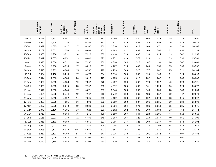|        | Checking or<br>savings                                                         | Credit card | Credit or<br>consumer<br>report | Credit repair | Debt<br>collection | transfer or<br>virtual<br>currency<br>service,<br>Money | Mortgage | Payday loan | Personal<br>Ioan | Prepaid<br>card | Student<br>Ioans | Title loan | Vehicle loan<br>or lease | Total  |
|--------|--------------------------------------------------------------------------------|-------------|---------------------------------|---------------|--------------------|---------------------------------------------------------|----------|-------------|------------------|-----------------|------------------|------------|--------------------------|--------|
| 15-Oct | 2,247                                                                          | 1,963       | 4,447                           | 23            | 6,826              | 397                                                     | 4,446    | 510         | 540              | 860             | 574              | 35         | 724                      | 23,850 |
| 15-Nov | 1,980                                                                          | 1,818       | 3,720                           | 22            | 6,256              | 371                                                     | 3,931    | 419         | 489              | 245             | 453              | 26         | 573                      | 20,526 |
| 15-Dec | 1,979                                                                          | 1,885       | 3,427                           | 17            | 6,367              | 362                                                     | 3,810    | 384         | 423              | 203             | 471              | 18         | 599                      | 20,205 |
| 16-Jan | 2,102                                                                          | 2,002       | 3,359                           | 19            | 6,668              | 401                                                     | 4,193    | 422         | 494              | 209             | 566              | 22         | 656                      | 21,333 |
| 16-Feb | 1,835                                                                          | 1,988       | 3,711                           | 14            | 7,216              | 369                                                     | 4,418    | 390         | 496              | 190             | 614              | 19         | 742                      | 22,255 |
| 16-Mar | 2,042                                                                          | 2,055       | 4,851                           | 13            | 8,040              | 393                                                     | 4,971    | 439         | 579              | 226             | 1,131            | 33         | 736                      | 25,769 |
| 16-Apr | 1,875                                                                          | 2,000       | 4,522                           | $20\,$        | 7,257              | 380                                                     | 4,320    | 384         | 528              | 167             | 1,196            | 26         | 707                      | 23,608 |
| 16-May | 2,184                                                                          | 1,980       | 4,795                           | 17            | 6,823              | 331                                                     | 4,267    | 395         | 499              | 203             | 959              | 35         | 755                      | 23,557 |
| 16-Jun | 2,548                                                                          | 1,969       | 4,904                           | 15            | 6,952              | 418                                                     | 4,293    | 369         | 526              | 177             | 1,002            | 25         | 721                      | 24,184 |
| 16-Jul | 2,384                                                                          | 2,160       | 5,218                           | 17            | 6,473              | 304                                                     | 3,910    | 333         | 555              | 194             | 1,168            | 31         | 724                      | 23,693 |
| 16-Aug | 2,644                                                                          | 2,583       | 4,983                           | 26            | 9,616              | 473                                                     | 4,285    | 420         | 615              | 232             | 1,242            | 31         | 836                      | 28,283 |
| 16-Sep | 3,082                                                                          | 2,695       | 4,583                           | 19            | 7,302              | 372                                                     | 4,457    | 329         | 667              | 179             | 1,327            | 40         | 823                      | 26,121 |
| 16-Oct | 2,829                                                                          | 2,635       | 5,215                           | 23            | 7,702              | 358                                                     | 4,312    | 335         | 636              | 161             | 1,229            | 36         | 924                      | 26,677 |
| 16-Nov | 2,412                                                                          | 2,213       | 4,044                           | 17            | 6,671              | 337                                                     | 3,948    | 336         | 565              | 168             | 1,035            | 28         | 788                      | 22,859 |
| 16-Dec | 2,424                                                                          | 2,298       | 3,744                           | 19            | 7,167              | 319                                                     | 3,742    | 260         | 669              | 186             | 857              | 32         | 767                      | 22,678 |
| 17-Jan | 2,580                                                                          | 2,313       | 4,522                           | 11            | 7,605              | 345                                                     | 4,102    | 308         | 662              | 202             | 5,270            | 28         | 915                      | 29,092 |
| 17-Feb | 2,369                                                                          | 2,239       | 4,681                           | $16\,$        | 7,599              | 322                                                     | 3,609    | 290         | 587              | 206             | 2,535            | 30         | 832                      | 25,502 |
| 17-Mar | 2,467                                                                          | 2,538       | 5,340                           | 19            | 8,638              | 388                                                     | 3,956    | 294         | 671              | 186             | 2,014            | 25         | 935                      | 27,671 |
| 17-Apr | 2,070                                                                          | 2,156       | 6,381                           | 33            | 7,623              | 390                                                     | 3,162    | 282         | 539              | 199             | 1,683            | 33         | 764                      | 25,444 |
| 17-May | 1,717                                                                          | 2,227       | 8,064                           | 76            | 7,276              | 436                                                     | 3,189    | 197         | 344              | 223             | 1,195            | 47         | 618                      | 25,610 |
| 17-Jun | 2,111                                                                          | 2,033       | 7,730                           | 71            | 6,486              | 545                                                     | 2,863    | 187         | 322              | 210             | 1,047            | 40         | 661                      | 24,306 |
| 17-Jul | 2,016                                                                          | 2,161       | 9,050                           | 74            | 6,965              | 603                                                     | 2,796    | 247         | 321              | 200             | 1,237            | 48         | 574                      | 26,294 |
| 17-Aug | 1,912                                                                          | 2,212       | 9,671                           | 77            | 7,487              | 604                                                     | 3,006    | 242         | 355              | 174             | 1,192            | 48         | 674                      | 27,657 |
| 17-Sep | 1,885                                                                          | 2,171       | 16,938                          | 105           | 5,580              | 523                                                     | 2,687    | 186         | 335              | 175             | 1,025            | 54         | 614                      | 32,278 |
| 17-Oct | 1,817                                                                          | 2,193       | 9,760                           | 84            | 6,784              | 547                                                     | 2,736    | 238         | 350              | 191             | 1,042            | 47         | 697                      | 26,488 |
| 17-Nov | 1,910                                                                          | 2,219       | 8,834                           | 102           | 6,109              | 570                                                     | 2,627    | 216         | 367              | 169             | 871              | 53         | 691                      | 24,741 |
| 17-Dec | 1,749                                                                          | 2,188       | 8,688                           | 96            | 6,303              | 930                                                     | 2,519    | 210         | 332              | 185             | 766              | 51         | 622                      | 24,639 |
| 20     | COMPLAINT SNAPSHOT: DEBT COLLECTION<br>BUREAU OF CONSUMER FINANCIAL PROTECTION |             |                                 |               |                    |                                                         |          |             |                  |                 |                  |            |                          |        |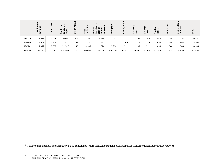<span id="page-21-0"></span>

<sup>&</sup>lt;sup>16</sup> Total column includes approximately 8,900 complaints where consumers did not select a specific consumer financial product or service.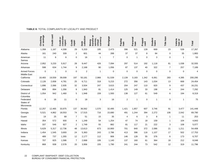|                                           | or savings<br>Checking | Credit card | consumer<br>Credit or<br>report | Credit<br>repair | collection<br>Debt | ১<br>currency<br>service,<br>transfer<br>Money<br>virtual | Mortgage       | Payday<br>Ioan | Personal<br>loan | Prepaid<br>card | Student<br>Ioans | Title loan     | Vehicle<br>loan or<br>lease | <b>Total</b>   |
|-------------------------------------------|------------------------|-------------|---------------------------------|------------------|--------------------|-----------------------------------------------------------|----------------|----------------|------------------|-----------------|------------------|----------------|-----------------------------|----------------|
| Alabama                                   | 1,358                  | 1.167       | 4,308                           | 29               | 5,333              | 195                                                       | 2,473          | 396            | 521              | 128             | 669              | 23             | 539                         | 17,267         |
| Alaska                                    | 161                    | 240         | 339                             | $\overline{2}$   | 601                | 44                                                        | 288            | 37             | 37               | 8               | 84               | $\mathbf 0$    | 35                          | 1,883          |
| American<br>Samoa                         | 11                     | 6           | 6                               | $\mathbf 0$      | 16                 | $\overline{1}$                                            | $\overline{7}$ | $\mathbf 0$    | 1                | 0               | 3                | 0              | $\mathbf{1}$                | 53             |
| Arizona                                   | 2,952                  | 3,233       | 5,917                           | 28               | 9,447              | 426                                                       | 7,094          | 297            | 514              | 192             | 1,118            | 81             | 1,038                       | 32,555         |
| Arkansas                                  | 598                    | 634         | 1,744                           | 9                | 2,168              | 90                                                        | 1,056          | 87             | 137              | 40              | 322              | $\overline{7}$ | 257                         | 7,189          |
| <b>Armed Forces</b><br><b>Middle East</b> | $\mathbf 0$            | 1           | 0                               | $\mathbf 0$      | $\mathbf 2$        | $\mathbf{1}$                                              | 0              | $\mathbf 0$    | 0                | 0               | 0                | $\mathbf 0$    | 0                           | $\overline{4}$ |
| California                                | 18,483                 | 19,559      | 39,008                          | 197              | 50,181             | 2,966                                                     | 51,539         | 2,139          | 3,183            | 1,342           | 6,061            | 283            | 4,395                       | 200,295        |
| Colorado                                  | 2,126                  | 2,658       | 4,781                           | 25               | 6,711              | 318                                                       | 5,215          | 272            | 356              | 143             | 1,034            | 13             | 668                         | 24,454         |
| Connecticut                               | 1,896                  | 2,066       | 2,935                           | 32               | 3,504              | 247                                                       | 3,615          | 204            | 247              | 110             | 820              | 9              | 437                         | 16,231         |
| Delaware                                  | 809                    | 894         | 1,356                           | 8                | 1,943              | 81                                                        | 1,414          | 125            | 149              | 33              | 198              | 4              | 244                         | 7,292          |
| District of<br>Columbia                   | 1,054                  | 942         | 1,460                           | 5                | 1,948              | 159                                                       | 1,593          | 138            | 127              | 61              | 549              | 6              | 194                         | 8,319          |
| Federated<br>States of<br>Micronesia      | 6                      | 16          | 11                              | $\mathbf 0$      | 18                 | 3                                                         | 16             | $\overline{2}$ | $\mathbf{1}$     | $\mathbf 0$     | $\mathbf{1}$     | 0              | $\mathbf{1}$                | 75             |
| Florida                                   | 12,257                 | 12,465      | 33,975                          | 137              | 36,562             | 1,570                                                     | 32,495         | 1,421          | 1,857            | 607             | 3,746            | 91             | 3,477                       | 141,448        |
| Georgia                                   | 5,521                  | 4,862       | 18,553                          | 74               | 17,515             | 716                                                       | 15,680         | 491            | 1,244            | 394             | 2,272            | 106            | 2,042                       | 69,790         |
| Guam                                      | 19                     | 25          | 68                              | $\overline{7}$   | 51                 | 15                                                        | 35             | 4              | 6                | 3               | 8                | $\mathbf{1}$   | 11                          | 253            |
| Hawaii                                    | 354                    | 572         | 930                             | 4                | 1,249              | 54                                                        | 1,254          | 47             | 74               | 18              | 159              | $\mathbf{1}$   | 104                         | 4,843          |
| Idaho                                     | 337                    | 546         | 927                             | $\overline{2}$   | 1,749              | 55                                                        | 882            | 81             | 117              | 21              | 222              | 3              | 108                         | 5,077          |
| Illinois                                  | 5,629                  | 5,317       | 12,736                          | 48               | 13,613             | 673                                                       | 10,900         | 701            | 840              | 372             | 2,086            | 21             | 1,211                       | 54,408         |
| Indiana                                   | 1,454                  | 1,545       | 3,693                           | 24               | 5,363              | 243                                                       | 2,786          | 413            | 396              | 116             | 1,107            | 17             | 502                         | 17,753         |
| lowa                                      | 489                    | 737         | 1,355                           | 12               | 2,177              | 112                                                       | 906            | 146            | 128              | 55              | 376              | 6              | 173                         | 6,707          |
| Kansas                                    | 707                    | 825         | 1,586                           | $\overline{7}$   | 2,668              | 106                                                       | 1,140          | 137            | 160              | 61              | 364              | 18             | 212                         | 8,048          |
| Kentucky                                  | 868                    | 938         | 2,578                           | 20               | 3,956              | 155                                                       | 1,790          | 241            | 244              | 73              | 542              | 12             | 319                         | 11,796         |

#### **TABLE 8:** TOTAL COMPLAINTS BY LOCALITY AND PRODUCT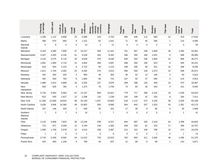|                                | Checking<br>or savings                                                         | Credit card | Credit or<br>consumer<br>report | Credit<br>repair | collection<br>Debt | transfer or<br>virtual<br>currency<br>service,<br>Money | <b>Mortgage</b> | Payday<br>Ioan | Personal<br>loan | Prepaid<br>card | Student<br>Ioans | Title Ioan              | Vehicle<br>Ioan or<br>Iease | Total  |
|--------------------------------|--------------------------------------------------------------------------------|-------------|---------------------------------|------------------|--------------------|---------------------------------------------------------|-----------------|----------------|------------------|-----------------|------------------|-------------------------|-----------------------------|--------|
| Louisiana                      | 1,208                                                                          | 1,112       | 4,609                           | 23               | 5,696              | 216                                                     | 2,703           | 394            | 446              | 112             | 583              | 22                      | 419                         | 17,616 |
| Maine                          | 390                                                                            | 670         | 660                             | 9                | 1,151              | 62                                                      | 1,041           | 71             | 82               | 45              | 266              | $\mathbf{1}$            | 124                         | 4,595  |
| Marshall<br>Islands            | 5                                                                              | 9           | $\overline{\mathbf{4}}$         | 0                | 14                 | $\mathbf{1}$                                            | 11              | $\mathbf 0$    | 3                | $\mathbf 0$     | $\mathbf 2$      | $\boldsymbol{2}$        | $\mathsf 3$                 | 54     |
| Maryland                       | 4,243                                                                          | 4,060       | 7,909                           | 47               | 10,227             | 569                                                     | 11,441          | 701            | 667              | 238             | 1,658            | 36                      | 1,265                       | 43,361 |
| Massachusetts                  | 3,347                                                                          | 3,493       | 4,145                           | 41               | 5,249              | 444                                                     | 6,262           | 346            | 355              | 180             | 1,501            | 8                       | 588                         | 26,085 |
| Michigan                       | 3,125                                                                          | 3,275       | 6,719                           | 44               | 9,628              | 476                                                     | 8,546           | 628            | 554              | 246             | 1,804            | 22                      | 906                         | 36,271 |
| Minnesota                      | 1,661                                                                          | 1,900       | 2,715                           | 31               | 4,062              | 268                                                     | 3,587           | 288            | 284              | 106             | 913              | 9                       | 305                         | 16,241 |
| Mississippi                    | 616                                                                            | 550         | 2,123                           | 8                | 2,722              | 95                                                      | 1,215           | 198            | 295              | 58              | 331              | 15                      | 268                         | 8,530  |
| Missouri                       | 1,611                                                                          | 1,704       | 4,282                           | 24               | 6,292              | 270                                                     | 4,013           | 356            | 503              | 128             | 1,073            | 24                      | 598                         | 20,971 |
| Montana                        | 162                                                                            | 304         | 432                             | 4                | 965                | 36                                                      | 393             | 46             | 52               | 14              | 140              | $\boldsymbol{2}$        | 50                          | 2,613  |
| Nebraska                       | 452                                                                            | 550         | 763                             | 8                | 1,664              | 66                                                      | 741             | 107            | 92               | 37              | 284              | 3                       | 124                         | 4,914  |
| Nevada                         | 1,689                                                                          | 1,613       | 3,869                           | 16               | 5,262              | 227                                                     | 3,878           | 299            | 399              | 126             | 459              | 24                      | 470                         | 18,467 |
| <b>New</b><br>Hampshire        | 505                                                                            | 626         | 782                             | 3                | 1,372              | 76                                                      | 1,759           | 73             | 83               | 36              | 333              | $\overline{\mathbf{4}}$ | 151                         | 5,844  |
| New Jersey                     | 5,734                                                                          | 5,954       | 9,563                           | 61               | 12,107             | 809                                                     | 14,021          | 779            | 717              | 288             | 2,102            | 18                      | 1,539                       | 54,023 |
| New Mexico                     | 623                                                                            | 635         | 1,627                           | 12               | 2,296              | 116                                                     | 1,238           | 140            | 189              | 42              | 253              | 9                       | 184                         | 7,411  |
| New York                       | 11,305                                                                         | 12,609      | 18,824                          | 98               | 20,140             | 1,637                                                   | 19,663          | 518            | 1,113            | 572             | 4,156            | 36                      | 2,029                       | 93,199 |
| North Carolina                 | 3,628                                                                          | 3,946       | 10,360                          | 49               | 10,902             | 500                                                     | 8,995           | 564            | 843              | 207             | 1,520            | 43                      | 1,351                       | 43,173 |
| North Dakota                   | 107                                                                            | 146         | 426                             | $\overline{2}$   | 540                | 26                                                      | 161             | 17             | 39               | 9               | 60               | 0                       | 30                          | 1,569  |
| Northern<br>Mariana<br>Islands | $\overline{7}$                                                                 | 3           | $\overline{7}$                  | $\mathbf 0$      | 10                 | $\mathbf{1}$                                            | $\overline{7}$  | $\mathbf 0$    | $\mathbf 0$      | $\mathbf 0$     | 5                | $\mathbf 0$             | $\mathbf{1}$                | 41     |
| Ohio                           | 4,132                                                                          | 4,848       | 7,823                           | 36               | 13,156             | 539                                                     | 8,257           | 844            | 897              | 326             | 2,319            | 64                      | 1,358                       | 44,842 |
| Oklahoma                       | 710                                                                            | 871         | 2,039                           | 12               | 3,764              | 148                                                     | 1,583           | 299            | 293              | 81              | 423              | 17                      | 395                         | 10,707 |
| Oregon                         | 1,590                                                                          | 1,759       | 2,578                           | 12               | 4,513              | 238                                                     | 3,587           | 214            | 312              | 106             | 768              | 10                      | 273                         | 16,078 |
| Palau                          | $\mathbf{1}$                                                                   | $\sqrt{2}$  | 3                               | $\mathbf 0$      | 1                  | $\pmb{0}$                                               | 6               | 0              | 0                | 0               | 1                | $\mathbf 0$             | $\mathbf{1}$                | 15     |
| Pennsylvania                   | 5,744                                                                          | 5,430       | 9,562                           | 44               | 13,222             | 733                                                     | 10,023          | 762            | 892              | 311             | 2,936            | 46                      | 1,296                       | 51,270 |
| Puerto Rico                    | 425                                                                            | 483         | 1,108                           | 9                | 796                | 45                                                      | 637             | 12             | 89               | 9               | 99               | $\mathbf{1}$            | 110                         | 3,871  |
| 23                             | COMPLAINT SNAPSHOT: DEBT COLLECTION<br>BUREAU OF CONSUMER FINANCIAL PROTECTION |             |                                 |                  |                    |                                                         |                 |                |                  |                 |                  |                         |                             |        |